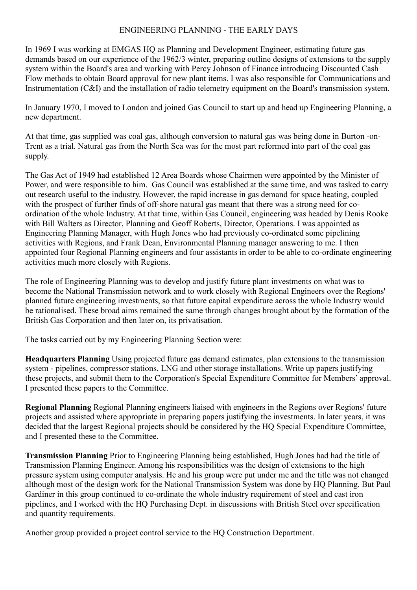## ENGINEERING PLANNING - THE EARLY DAYS

In 1969 I was working at EMGAS HQ as Planning and Development Engineer, estimating future gas demands based on our experience of the 1962/3 winter, preparing outline designs of extensions to the supply system within the Board's area and working with Percy Johnson of Finance introducing Discounted Cash Flow methods to obtain Board approval for new plant items. I was also responsible for Communications and Instrumentation (C&I) and the installation of radio telemetry equipment on the Board's transmission system.

In January 1970, I moved to London and joined Gas Council to start up and head up Engineering Planning, a new department.

At that time, gas supplied was coal gas, although conversion to natural gas was being done in Burton -on-Trent as a trial. Natural gas from the North Sea was for the most part reformed into part of the coal gas supply.

The Gas Act of 1949 had established 12 Area Boards whose Chairmen were appointed by the Minister of Power, and were responsible to him. Gas Council was established at the same time, and was tasked to carry out research useful to the industry. However, the rapid increase in gas demand for space heating, coupled with the prospect of further finds of off-shore natural gas meant that there was a strong need for coordination of the whole Industry. At that time, within Gas Council, engineering was headed by Denis Rooke with Bill Walters as Director, Planning and Geoff Roberts, Director, Operations. I was appointed as Engineering Planning Manager, with Hugh Jones who had previously co-ordinated some pipelining activities with Regions, and Frank Dean, Environmental Planning manager answering to me. I then appointed four Regional Planning engineers and four assistants in order to be able to co-ordinate engineering activities much more closely with Regions.

The role of Engineering Planning was to develop and justify future plant investments on what was to become the National Transmission network and to work closely with Regional Engineers over the Regions' planned future engineering investments, so that future capital expenditure across the whole Industry would be rationalised. These broad aims remained the same through changes brought about by the formation of the British Gas Corporation and then later on, its privatisation.

The tasks carried out by my Engineering Planning Section were:

**Headquarters Planning** Using projected future gas demand estimates, plan extensions to the transmission system - pipelines, compressor stations, LNG and other storage installations. Write up papers justifying these projects, and submit them to the Corporation's Special Expenditure Committee for Members' approval. I presented these papers to the Committee.

**Regional Planning** Regional Planning engineers liaised with engineers in the Regions over Regions' future projects and assisted where appropriate in preparing papers justifying the investments. In later years, it was decided that the largest Regional projects should be considered by the HO Special Expenditure Committee, and I presented these to the Committee.

**Transmission Planning** Prior to Engineering Planning being established, Hugh Jones had had the title of Transmission Planning Engineer. Among his responsibilities was the design of extensions to the high pressure system using computer analysis. He and his group were put under me and the title was not changed although most of the design work for the National Transmission System was done by HQ Planning. But Paul Gardiner in this group continued to co-ordinate the whole industry requirement of steel and cast iron pipelines, and I worked with the HQ Purchasing Dept. in discussions with British Steel over specification and quantity requirements.

Another group provided a project control service to the HQ Construction Department.